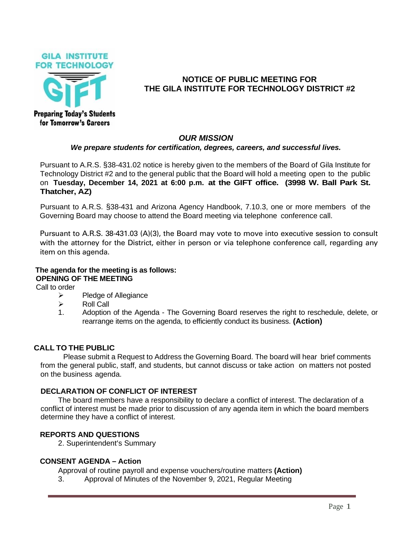



# **NOTICE OF PUBLIC MEETING FOR THE GILA INSTITUTE FOR TECHNOLOGY DISTRICT #2**

# *OUR MISSION*

#### *We prepare students for certification, degrees, careers, and successful lives.*

Pursuant to A.R.S. §38-431.02 notice is hereby given to the members of the Board of Gila Institute for Technology District #2 and to the general public that the Board will hold a meeting open to the public on **Tuesday, December 14, 2021 at 6:00 p.m. at the GIFT office. (3998 W. Ball Park St. Thatcher, AZ)**

Pursuant to A.R.S. §38-431 and Arizona Agency Handbook, 7.10.3, one or more members of the Governing Board may choose to attend the Board meeting via telephone conference call.

Pursuant to A.R.S. 38-431.03 (A)(3), the Board may vote to move into executive session to consult with the attorney for the District, either in person or via telephone conference call, regarding any item on this agenda.

# **The agenda for the meeting is as follows: OPENING OF THE MEETING**

Call to order

- ➢ Pledge of Allegiance
- ➢ Roll Call
- 1. Adoption of the Agenda The Governing Board reserves the right to reschedule, delete, or rearrange items on the agenda, to efficiently conduct its business. **(Action)**

### **CALL TO THE PUBLIC**

Please submit a Request to Address the Governing Board. The board will hear brief comments from the general public, staff, and students, but cannot discuss or take action on matters not posted on the business agenda.

### **DECLARATION OF CONFLICT OF INTEREST**

The board members have a responsibility to declare a conflict of interest. The declaration of a conflict of interest must be made prior to discussion of any agenda item in which the board members determine they have a conflict of interest.

## **REPORTS AND QUESTIONS**

2. Superintendent's Summary

### **CONSENT AGENDA – Action**

Approval of routine payroll and expense vouchers/routine matters **(Action)**

3. Approval of Minutes of the November 9, 2021, Regular Meeting